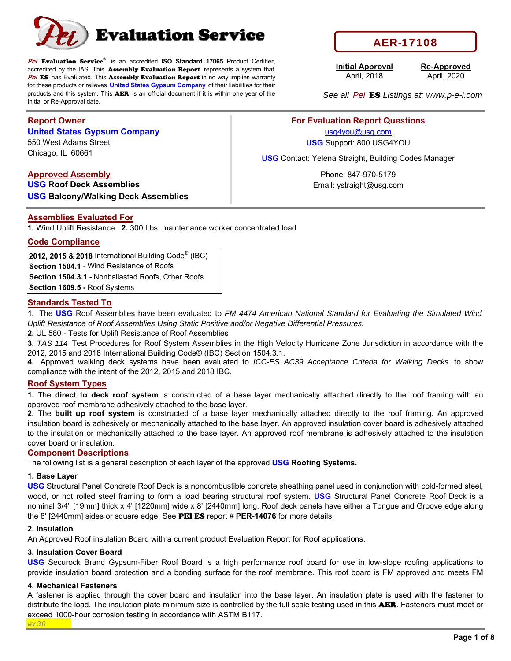

**Pei** Evaluation Service® is an accredited **ISO Standard 17065** Product Certifier, accredited by the IAS. This Assembly Evaluation Report represents a system that **Pei ES** has Evaluated. This **Assembly Evaluation Report** in no way implies warranty for these products or relieves **United States Gypsum Company** of their liabilities for their products and this system. This AER is an official document if it is within one year of the Initial or Re-Approval date.

### **Report Owner**

### **United States Gypsum Company**

Chicago, IL 60661 550 West Adams Street

### **Approved Assembly**

**USG Roof Deck Assemblies USG Balcony/Walking Deck Assemblies**

### **Assemblies Evaluated For**

**1.** Wind Uplift Resistance **2.** 300 Lbs. maintenance worker concentrated load

#### **Code Compliance**

**2012, 2015 & 2018** International Building Code® (IBC) **Section 1504.1 -** Wind Resistance of Roofs

**Section 1504.3.1 -** Nonballasted Roofs, Other Roofs

**Section 1609.5 -** Roof Systems

### **Standards Tested To**

**1.** The **USG** Roof Assemblies have been evaluated to *FM 4474 American National Standard for Evaluating the Simulated Wind Uplift Resistance of Roof Assemblies Using Static Positive and/or Negative Differential Pressures.*

**2.** UL 580 - Tests for Uplift Resistance of Roof Assemblies

**3.** *TAS 114* Test Procedures for Roof System Assemblies in the High Velocity Hurricane Zone Jurisdiction in accordance with the 2012, 2015 and 2018 International Building Code® (IBC) Section 1504.3.1.

**4.** Approved walking deck systems have been evaluated to *ICC-ES AC39 Acceptance Criteria for Walking Decks* to show compliance with the intent of the 2012, 2015 and 2018 IBC.

#### **Roof System Types**

**1.** The **direct to deck roof system** is constructed of a base layer mechanically attached directly to the roof framing with an approved roof membrane adhesively attached to the base layer.

**2.** The **built up roof system** is constructed of a base layer mechanically attached directly to the roof framing. An approved insulation board is adhesively or mechanically attached to the base layer. An approved insulation cover board is adhesively attached to the insulation or mechanically attached to the base layer. An approved roof membrane is adhesively attached to the insulation cover board or insulation.

#### **Component Descriptions**

The following list is a general description of each layer of the approved **USG Roofing Systems.**

#### **1. Base Layer**

**USG** Structural Panel Concrete Roof Deck is a noncombustible concrete sheathing panel used in conjunction with cold-formed steel, wood, or hot rolled steel framing to form a load bearing structural roof system. **USG** Structural Panel Concrete Roof Deck is a nominal 3/4" [19mm] thick x 4' [1220mm] wide x 8' [2440mm] long. Roof deck panels have either a Tongue and Groove edge along the 8' [2440mm] sides or square edge. See PEI ES report # **PER-14076** for more details.

#### **2. Insulation**

An Approved Roof insulation Board with a current product Evaluation Report for Roof applications.

#### **3. Insulation Cover Board**

**USG** Securock Brand Gypsum-Fiber Roof Board is a high performance roof board for use in low-slope roofing applications to provide insulation board protection and a bonding surface for the roof membrane. This roof board is FM approved and meets FM

#### **4. Mechanical Fasteners**

*ver 3.0* A fastener is applied through the cover board and insulation into the base layer. An insulation plate is used with the fastener to distribute the load. The insulation plate minimum size is controlled by the full scale testing used in this **AER**. Fasteners must meet or exceed 1000-hour corrosion testing in accordance with ASTM B117.

# AER-17108

**Initial Approval** April, 2018

April, 2020 **Re-Approved**

*See all Pei* ES *Listings at: www.p-e-i.com*

### **For Evaluation Report Questions**

usg4you@usg.com **USG** Support: 800.USG4YOU

**USG** Contact: Yelena Straight, Building Codes Manager

Phone: 847-970-5179 Email: ystraight@usg.com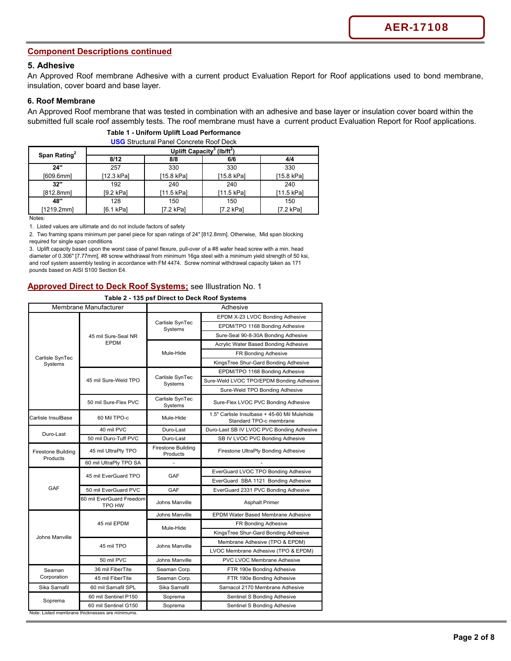### **Component Descriptions continued**

#### **5. Adhesive**

An Approved Roof membrane Adhesive with a current product Evaluation Report for Roof applications used to bond membrane, insulation, cover board and base layer.

#### **6. Roof Membrane**

An Approved Roof membrane that was tested in combination with an adhesive and base layer or insulation cover board within the submitted full scale roof assembly tests. The roof membrane must have a current product Evaluation Report for Roof applications.

| <b>USG</b> Structural Panel Concrete Roof Deck |                                                    |            |            |            |  |
|------------------------------------------------|----------------------------------------------------|------------|------------|------------|--|
| Span Rating <sup>2</sup>                       | Uplift Capacity <sup>3</sup> (lb/ft <sup>2</sup> ) |            |            |            |  |
|                                                | 8/12                                               | 8/8        | 6/6        | 4/4        |  |
| 24"                                            | 257                                                | 330        | 330        | 330        |  |
| [609.6mm]                                      | [12.3 kPa]                                         | [15.8 kPa] | [15.8 kPa] | [15.8 kPa] |  |
| 32"                                            | 192                                                | 240        | 240        | 240        |  |
| [812.8mm]                                      | [9.2 kPa]                                          | [11.5 kPa] | [11.5 kPa] | [11.5 kPa] |  |
| 48"                                            | 128                                                | 150        | 150        | 150        |  |
| [1219.2mm]                                     | [6.1 kPa]                                          | [7.2 kPa]  | [7.2 kPa]  | [7.2 kPa]  |  |
| Notes:                                         |                                                    |            |            |            |  |

#### **Table 1 - Uniform Uplift Load Performance**

1. Listed values are ultimate and do not include factors of safety

2. Two framing spans minimum per panel piece for span ratings of 24" [812.8mm]. Otherwise, Mid span blocking required for single span conditions

3. Uplift capacity based upon the worst case of panel flexure, pull-over of a #8 wafer head screw with a min. head diameter of 0.306" [7.77mm], #8 screw withdrawal from minimum 16ga steel with a minimum yield strength of 50 ksi, and roof system assembly testing in accordance with FM 4474. Screw nominal withdrawal capacity taken as 171 pounds based on AISI S100 Section E4.

### **Approved Direct to Deck Roof Systems;** see Illustration No. 1

#### **Table 2 - 135 psf Direct to Deck Roof Systems**

| Membrane Manufacturer                 |                                                 | Adhesive                              |                                                                         |  |
|---------------------------------------|-------------------------------------------------|---------------------------------------|-------------------------------------------------------------------------|--|
|                                       |                                                 |                                       | EPDM X-23 LVOC Bonding Adhesive                                         |  |
|                                       | 45 mil Sure-Seal NR                             | Carlisle SynTec<br>Systems            | EPDM/TPO 1168 Bonding Adhesive                                          |  |
|                                       |                                                 |                                       | Sure-Seal 90-8-30A Bonding Adhesive                                     |  |
|                                       | <b>EPDM</b>                                     |                                       | Acrylic Water Based Bonding Adhesive                                    |  |
| Carlisle SynTec                       |                                                 | Mule-Hide                             | FR Bonding Adhesive                                                     |  |
| Systems                               |                                                 |                                       | KingsTree Shur-Gard Bonding Adhesive                                    |  |
|                                       |                                                 |                                       | EPDM/TPO 1168 Bonding Adhesive                                          |  |
|                                       | 45 mil Sure-Weld TPO                            | Carlisle SynTec<br>Systems            | Sure-Weld LVOC TPO/EPDM Bonding Adhesive                                |  |
|                                       |                                                 |                                       | Sure-Weld TPO Bonding Adhesive                                          |  |
|                                       | 50 mil Sure-Flex PVC                            | Carlisle SynTec<br>Systems            | Sure-Flex LVOC PVC Bonding Adhesive                                     |  |
| Carlisle InsulBase                    | 60 Mil TPO-c                                    | Mule-Hide                             | 1.5" Carlisle Insulbase + 45-60 Mil Mulehide<br>Standard TPO-c membrane |  |
| Duro-Last                             | 40 mil PVC                                      | Duro-Last                             | Duro-Last SB IV LVOC PVC Bonding Adhesive                               |  |
|                                       | 50 mil Duro-Tuff PVC                            | Duro-Last                             | SB IV LVOC PVC Bonding Adhesive                                         |  |
| <b>Firestone Building</b><br>Products | 45 mil UltraPly TPO                             | <b>Firestone Building</b><br>Products | Firestone UltraPly Bonding Adhesive                                     |  |
|                                       | 60 mil UltraPly TPO SA                          |                                       |                                                                         |  |
|                                       | 45 mil EverGuard TPO                            | GAF                                   | EverGuard LVOC TPO Bonding Adhesive                                     |  |
|                                       |                                                 |                                       | EverGuard SBA 1121 Bonding Adhesive                                     |  |
| GAF                                   | 50 mil EverGuard PVC                            | GAF                                   | EverGuard 2331 PVC Bonding Adhesive                                     |  |
|                                       | 60 mil EverGuard Freedom<br>TPO HW              | Johns Manville                        | <b>Asphalt Primer</b>                                                   |  |
|                                       |                                                 | <b>Johns Manville</b>                 | EPDM Water Based Membrane Adhesive                                      |  |
|                                       | 45 mil EPDM                                     | Mule-Hide                             | FR Bonding Adhesive                                                     |  |
| <b>Johns Manville</b>                 |                                                 |                                       | KingsTree Shur-Gard Bonding Adhesive                                    |  |
|                                       | 45 mil TPO                                      | Johns Manville                        | Membrane Adhesive (TPO & EPDM)                                          |  |
|                                       |                                                 |                                       | LVOC Membrane Adhesive (TPO & EPDM)                                     |  |
|                                       | 50 mil PVC                                      | Johns Manville                        | <b>PVC LVOC Membrane Adhesive</b>                                       |  |
| Seaman                                | 36 mil FiberTite                                | Seaman Corp.                          | FTR 190e Bonding Adhesive                                               |  |
| Corporation                           | 45 mil FiberTite                                | Seaman Corp.                          | FTR 190e Bonding Adhesive                                               |  |
| Sika Sarnafil                         | 60 mil Sarnafil SPL                             | Sika Sarnafil                         | Sarnacol 2170 Membrane Adhesive                                         |  |
| Soprema                               | 60 mil Sentinel P150                            | Soprema                               | Sentinel S Bonding Adhesive                                             |  |
|                                       | 60 mil Sentinel G150                            | Soprema                               | Sentinel S Bonding Adhesive                                             |  |
|                                       | Note: Listed membrane thicknesses are minimums. |                                       |                                                                         |  |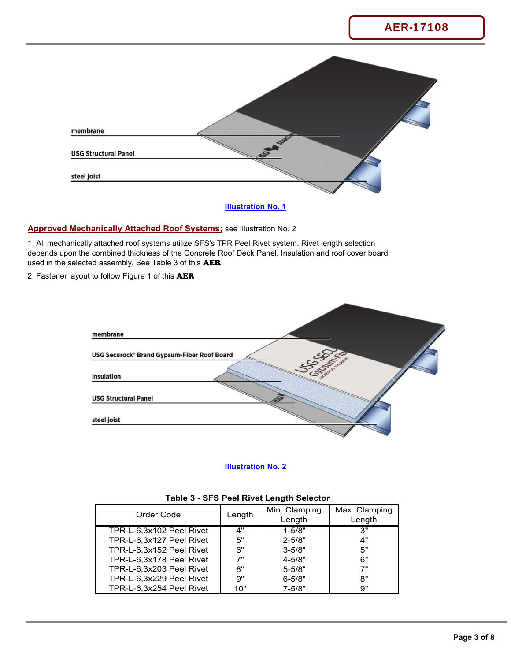

### **Illustration No. 1**

### **Approved Mechanically Attached Roof Systems;** see Illustration No. 2

1. All mechanically attached roof systems utilize SFS's TPR Peel Rivet system. Rivet length selection depends upon the combined thickness of the Concrete Roof Deck Panel, Insulation and roof cover board used in the selected assembly. See Table 3 of this **AER** 

2. Fastener layout to follow Figure 1 of this **AER** 



### **Illustration No. 2**

| Order Code               | Length | Min. Clamping<br>Length | Max. Clamping<br>Length |  |
|--------------------------|--------|-------------------------|-------------------------|--|
| TPR-L-6,3x102 Peel Rivet | 4"     | $1 - 5/8"$              | 3"                      |  |
| TPR-L-6,3x127 Peel Rivet | 5"     | $2 - 5/8"$              | 4"                      |  |
| TPR-L-6,3x152 Peel Rivet | 6"     | $3 - 5/8"$              | 5"                      |  |
| TPR-L-6,3x178 Peel Rivet | 7"     | $4 - 5/8"$              | 6"                      |  |
| TPR-L-6.3x203 Peel Rivet | 8"     | $5 - 5/8"$              | 7"                      |  |
| TPR-L-6,3x229 Peel Rivet | 9"     | $6 - 5/8"$              | 8"                      |  |
| TPR-L-6,3x254 Peel Rivet | 10"    | $7 - 5/8"$              | 9"                      |  |

#### **Table 3 - SFS Peel Rivet Length Selector**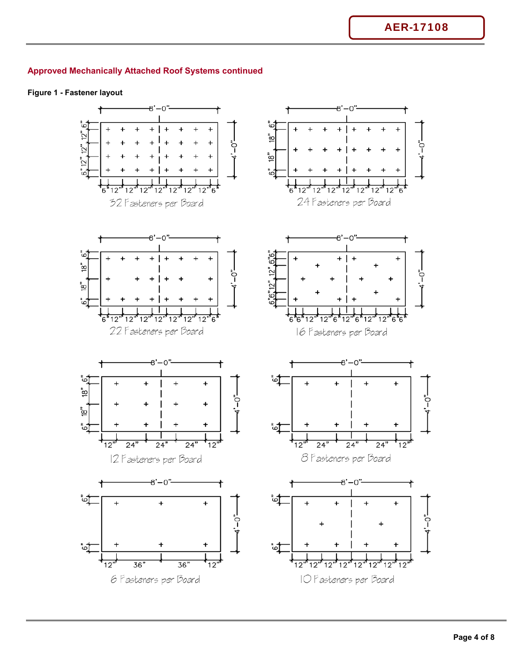### **Figure 1 - Fastener layout**

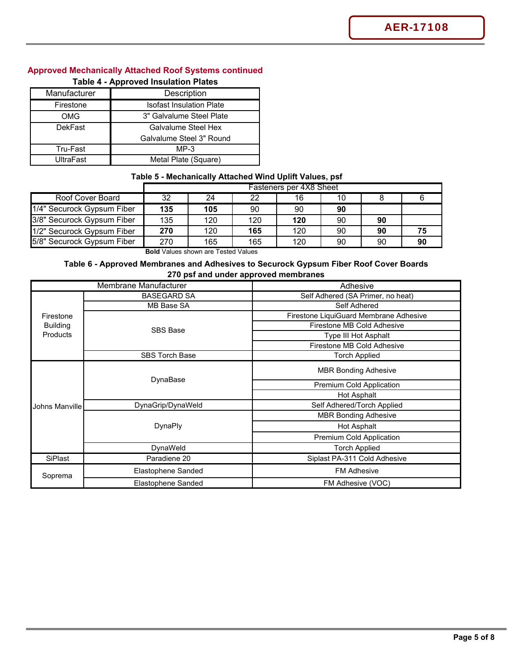| Manufacturer     | Description                     |
|------------------|---------------------------------|
| Firestone        | <b>Isofast Insulation Plate</b> |
| OMG              | 3" Galvalume Steel Plate        |
| <b>DekFast</b>   | Galvalume Steel Hex             |
|                  | Galvalume Steel 3" Round        |
| Tru-Fast         | $MP-3$                          |
| <b>UltraFast</b> | Metal Plate (Square)            |

### **Table 4 - Approved Insulation Plates**

### **Table 5 - Mechanically Attached Wind Uplift Values, psf**

|                            | Fasteners per 4X8 Sheet |     |     |     |    |    |    |
|----------------------------|-------------------------|-----|-----|-----|----|----|----|
| Roof Cover Board           | 32                      | 24  | 22  | 16  | 10 |    |    |
| 1/4" Securock Gypsum Fiber | 135                     | 105 | 90  | 90  | 90 |    |    |
| 3/8" Securock Gypsum Fiber | 135                     | 120 | 120 | 120 | 90 | 90 |    |
| 1/2" Securock Gypsum Fiber | 270                     | 120 | 165 | 120 | 90 | 90 |    |
| 5/8" Securock Gypsum Fiber | 270                     | 165 | 165 | 120 | 90 | 90 | 90 |

**Bold** Values shown are Tested Values

### **Table 6 - Approved Membranes and Adhesives to Securock Gypsum Fiber Roof Cover Boards 270 psf and under approved membranes**

| Membrane Manufacturer |                       | Adhesive                               |
|-----------------------|-----------------------|----------------------------------------|
|                       | <b>BASEGARD SA</b>    | Self Adhered (SA Primer, no heat)      |
|                       | MB Base SA            | Self Adhered                           |
| Firestone             |                       | Firestone LiquiGuard Membrane Adhesive |
| <b>Building</b>       | <b>SBS Base</b>       | Firestone MB Cold Adhesive             |
| Products              |                       | Type III Hot Asphalt                   |
|                       |                       | Firestone MB Cold Adhesive             |
|                       | <b>SBS Torch Base</b> | <b>Torch Applied</b>                   |
|                       |                       | <b>MBR Bonding Adhesive</b>            |
|                       | DynaBase              | Premium Cold Application               |
|                       |                       | Hot Asphalt                            |
| Johns Manville        | DynaGrip/DynaWeld     | Self Adhered/Torch Applied             |
|                       |                       | <b>MBR Bonding Adhesive</b>            |
|                       | DynaPly               | Hot Asphalt                            |
|                       |                       | Premium Cold Application               |
|                       | DynaWeld              | <b>Torch Applied</b>                   |
| SiPlast               | Paradiene 20          | Siplast PA-311 Cold Adhesive           |
| Soprema               | Elastophene Sanded    | <b>FM Adhesive</b>                     |
|                       | Elastophene Sanded    | FM Adhesive (VOC)                      |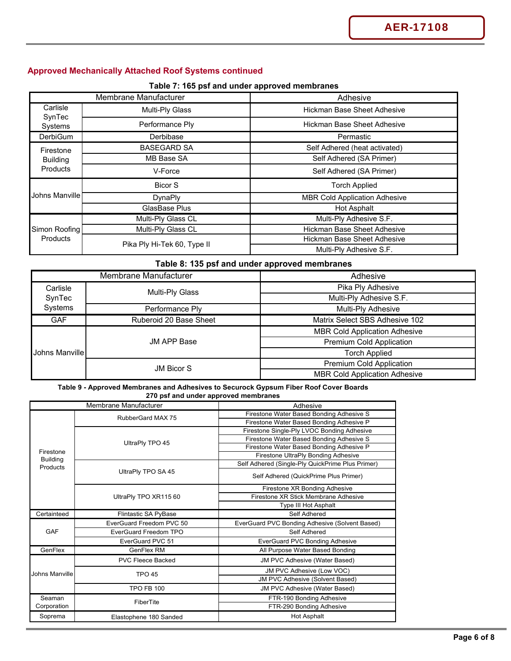**Table 7: 165 psf and under approved membranes**

| Membrane Manufacturer |                             | Adhesive                             |  |
|-----------------------|-----------------------------|--------------------------------------|--|
| Carlisle              | Multi-Ply Glass             | Hickman Base Sheet Adhesive          |  |
| SynTec<br>Systems     | Performance Ply             | <b>Hickman Base Sheet Adhesive</b>   |  |
| <b>DerbiGum</b>       | Derbibase                   | Permastic                            |  |
| Firestone             | <b>BASEGARD SA</b>          | Self Adhered (heat activated)        |  |
| <b>Building</b>       | MB Base SA                  | Self Adhered (SA Primer)             |  |
| <b>Products</b>       | V-Force                     | Self Adhered (SA Primer)             |  |
|                       | <b>Bicor S</b>              | <b>Torch Applied</b>                 |  |
| Johns Manville I      | <b>DynaPly</b>              | <b>MBR Cold Application Adhesive</b> |  |
|                       | GlasBase Plus               | Hot Asphalt                          |  |
|                       | Multi-Ply Glass CL          | Multi-Ply Adhesive S.F.              |  |
| Simon Roofing         | Multi-Ply Glass CL          | Hickman Base Sheet Adhesive          |  |
| <b>Products</b>       |                             | <b>Hickman Base Sheet Adhesive</b>   |  |
|                       | Pika Ply Hi-Tek 60, Type II | Multi-Ply Adhesive S.F.              |  |

## **Table 8: 135 psf and under approved membranes**

| Membrane Manufacturer |                                                         | Adhesive                             |  |
|-----------------------|---------------------------------------------------------|--------------------------------------|--|
| Carlisle              | Multi-Ply Glass<br>SynTec<br>Systems<br>Performance Ply | Pika Ply Adhesive                    |  |
|                       |                                                         | Multi-Ply Adhesive S.F.              |  |
|                       |                                                         | Multi-Ply Adhesive                   |  |
| <b>GAF</b>            | Ruberoid 20 Base Sheet                                  | Matrix Select SBS Adhesive 102       |  |
|                       |                                                         | <b>MBR Cold Application Adhesive</b> |  |
| Johns Manville        | <b>JM APP Base</b>                                      | <b>Premium Cold Application</b>      |  |
|                       |                                                         | <b>Torch Applied</b>                 |  |
|                       | <b>JM Bicor S</b>                                       | <b>Premium Cold Application</b>      |  |
|                       |                                                         | <b>MBR Cold Application Adhesive</b> |  |

#### **Table 9 - Approved Membranes and Adhesives to Securock Gypsum Fiber Roof Cover Boards 270 psf and under approved membranes**

| Membrane Manufacturer |                          | Adhesive                                         |
|-----------------------|--------------------------|--------------------------------------------------|
|                       | RubberGard MAX 75        | Firestone Water Based Bonding Adhesive S         |
|                       |                          | Firestone Water Based Bonding Adhesive P         |
|                       |                          | Firestone Single-Ply LVOC Bonding Adhesive       |
|                       | UltraPly TPO 45          | Firestone Water Based Bonding Adhesive S         |
| Firestone             |                          | Firestone Water Based Bonding Adhesive P         |
| <b>Building</b>       |                          | Firestone UltraPly Bonding Adhesive              |
| Products              |                          | Self Adhered (Single-Ply QuickPrime Plus Primer) |
|                       | UltraPly TPO SA 45       | Self Adhered (QuickPrime Plus Primer)            |
|                       |                          | Firestone XR Bonding Adhesive                    |
|                       | UltraPly TPO XR115 60    | Firestone XR Stick Membrane Adhesive             |
|                       |                          | <b>Type III Hot Asphalt</b>                      |
| Certainteed           | Flintastic SA PyBase     | Self Adhered                                     |
|                       | EverGuard Freedom PVC 50 | EverGuard PVC Bonding Adhesive (Solvent Based)   |
| GAF                   | EverGuard Freedom TPO    | Self Adhered                                     |
|                       | EverGuard PVC 51         | EverGuard PVC Bonding Adhesive                   |
| GenFlex               | GenFlex RM               | All Purpose Water Based Bonding                  |
|                       | <b>PVC Fleece Backed</b> | JM PVC Adhesive (Water Based)                    |
| Johns Manville        | <b>TPO 45</b>            | JM PVC Adhesive (Low VOC)                        |
|                       |                          | JM PVC Adhesive (Solvent Based)                  |
|                       | <b>TPO FB 100</b>        | JM PVC Adhesive (Water Based)                    |
| Seaman                | FiberTite                | FTR-190 Bonding Adhesive                         |
| Corporation           |                          | FTR-290 Bonding Adhesive                         |
| Soprema               | Elastophene 180 Sanded   | Hot Asphalt                                      |
|                       |                          |                                                  |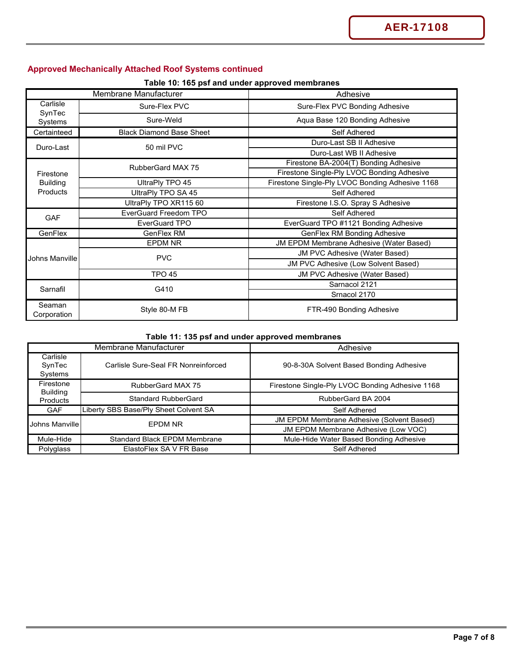**Table 10: 165 psf and under approved membranes**

|                       | Membrane Manufacturer           | Adhesive                                        |  |
|-----------------------|---------------------------------|-------------------------------------------------|--|
| Carlisle              | Sure-Flex PVC                   | Sure-Flex PVC Bonding Adhesive                  |  |
| SynTec<br>Systems     | Sure-Weld                       | Aqua Base 120 Bonding Adhesive                  |  |
| Certainteed           | <b>Black Diamond Base Sheet</b> | Self Adhered                                    |  |
| Duro-Last             | 50 mil PVC                      | Duro-Last SB II Adhesive                        |  |
|                       |                                 | Duro-Last WB II Adhesive                        |  |
|                       | RubberGard MAX 75               | Firestone BA-2004(T) Bonding Adhesive           |  |
| Firestone             |                                 | Firestone Single-Ply LVOC Bonding Adhesive      |  |
| <b>Building</b>       | UltraPly TPO 45                 | Firestone Single-Ply LVOC Bonding Adhesive 1168 |  |
| Products              | UltraPly TPO SA 45              | Self Adhered                                    |  |
|                       | UltraPly TPO XR115 60           | Firestone I.S.O. Spray S Adhesive               |  |
| <b>GAF</b>            | <b>EverGuard Freedom TPO</b>    | Self Adhered                                    |  |
|                       | <b>EverGuard TPO</b>            | EverGuard TPO #1121 Bonding Adhesive            |  |
| GenFlex               | GenFlex RM                      | <b>GenFlex RM Bonding Adhesive</b>              |  |
|                       | <b>EPDM NR</b>                  | <b>JM EPDM Membrane Adhesive (Water Based)</b>  |  |
|                       |                                 | <b>JM PVC Adhesive (Water Based)</b>            |  |
| Johns Manville        | <b>PVC</b>                      | JM PVC Adhesive (Low Solvent Based)             |  |
|                       | <b>TPO 45</b>                   | JM PVC Adhesive (Water Based)                   |  |
|                       |                                 | Sarnacol 2121                                   |  |
| Sarnafil              | G410                            | Srnacol 2170                                    |  |
| Seaman<br>Corporation | Style 80-M FB                   | FTR-490 Bonding Adhesive                        |  |

### **Table 11: 135 psf and under approved membranes**

|                               | Membrane Manufacturer                 | Adhesive                                         |
|-------------------------------|---------------------------------------|--------------------------------------------------|
| Carlisle<br>SynTec<br>Systems | Carlisle Sure-Seal FR Nonreinforced   | 90-8-30A Solvent Based Bonding Adhesive          |
| Firestone                     | RubberGard MAX 75                     | Firestone Single-Ply LVOC Bonding Adhesive 1168  |
| <b>Building</b><br>Products   | <b>Standard RubberGard</b>            | RubberGard BA 2004                               |
| <b>GAF</b>                    | Liberty SBS Base/Ply Sheet Colvent SA | Self Adhered                                     |
| Johns Manville                | <b>EPDM NR</b>                        | <b>JM EPDM Membrane Adhesive (Solvent Based)</b> |
|                               |                                       | JM EPDM Membrane Adhesive (Low VOC)              |
| Mule-Hide                     | <b>Standard Black EPDM Membrane</b>   | Mule-Hide Water Based Bonding Adhesive           |
| Polyglass                     | ElastoFlex SA V FR Base               | Self Adhered                                     |